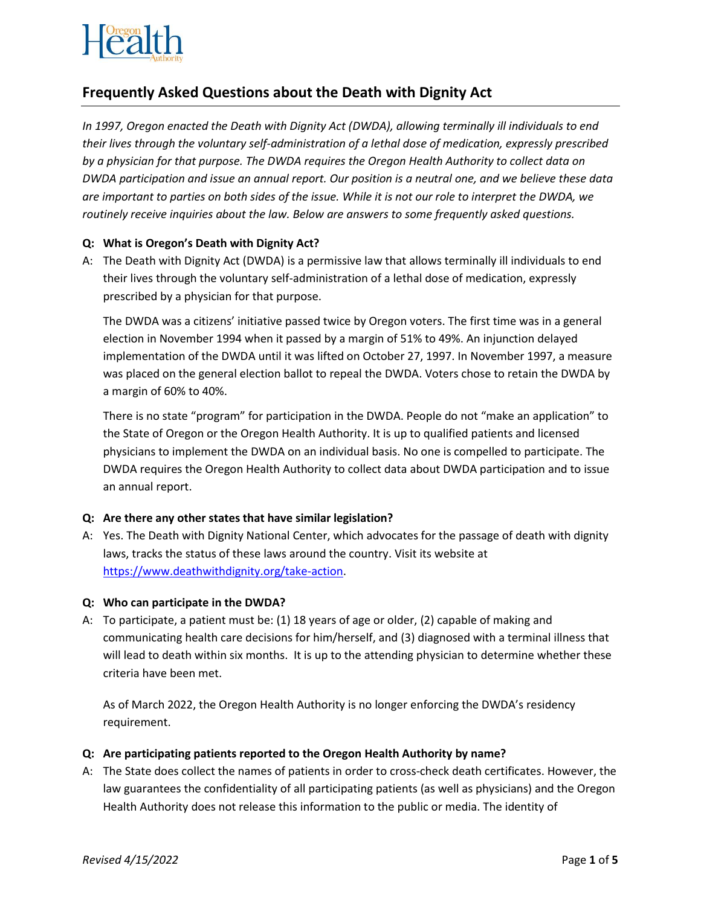

# **Frequently Asked Questions about the Death with Dignity Act**

*In 1997, Oregon enacted the Death with Dignity Act (DWDA), allowing terminally ill individuals to end their lives through the voluntary self-administration of a lethal dose of medication, expressly prescribed by a physician for that purpose. The DWDA requires the Oregon Health Authority to collect data on DWDA participation and issue an annual report. Our position is a neutral one, and we believe these data are important to parties on both sides of the issue. While it is not our role to interpret the DWDA, we routinely receive inquiries about the law. Below are answers to some frequently asked questions.*

# **Q: What is Oregon's Death with Dignity Act?**

A: The Death with Dignity Act (DWDA) is a permissive law that allows terminally ill individuals to end their lives through the voluntary self-administration of a lethal dose of medication, expressly prescribed by a physician for that purpose.

The DWDA was a citizens' initiative passed twice by Oregon voters. The first time was in a general election in November 1994 when it passed by a margin of 51% to 49%. An injunction delayed implementation of the DWDA until it was lifted on October 27, 1997. In November 1997, a measure was placed on the general election ballot to repeal the DWDA. Voters chose to retain the DWDA by a margin of 60% to 40%.

There is no state "program" for participation in the DWDA. People do not "make an application" to the State of Oregon or the Oregon Health Authority. It is up to qualified patients and licensed physicians to implement the DWDA on an individual basis. No one is compelled to participate. The DWDA requires the Oregon Health Authority to collect data about DWDA participation and to issue an annual report.

# **Q: Are there any other states that have similar legislation?**

A: Yes. The Death with Dignity National Center, which advocates for the passage of death with dignity laws, tracks the status of these laws around the country. Visit its website at [https://www.deathwithdignity.org/take-action.](https://www.deathwithdignity.org/take-action)

# **Q: Who can participate in the DWDA?**

A: To participate, a patient must be: (1) 18 years of age or older, (2) capable of making and communicating health care decisions for him/herself, and (3) diagnosed with a terminal illness that will lead to death within six months. It is up to the attending physician to determine whether these criteria have been met.

As of March 2022, the Oregon Health Authority is no longer enforcing the DWDA's residency requirement.

# **Q: Are participating patients reported to the Oregon Health Authority by name?**

A: The State does collect the names of patients in order to cross-check death certificates. However, the law guarantees the confidentiality of all participating patients (as well as physicians) and the Oregon Health Authority does not release this information to the public or media. The identity of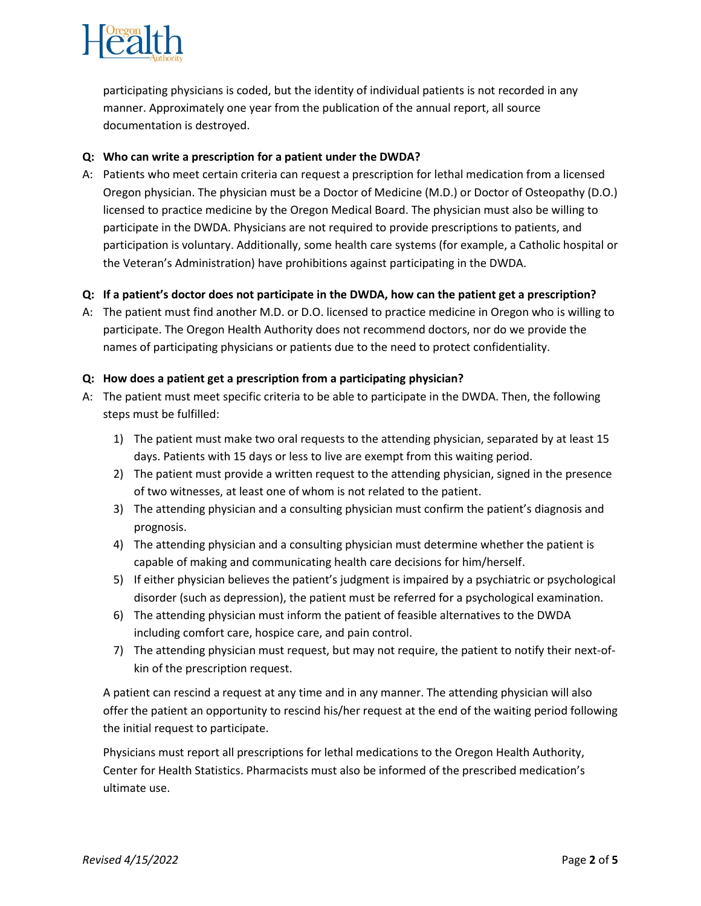

participating physicians is coded, but the identity of individual patients is not recorded in any manner. Approximately one year from the publication of the annual report, all source documentation is destroyed.

# **Q: Who can write a prescription for a patient under the DWDA?**

A: Patients who meet certain criteria can request a prescription for lethal medication from a licensed Oregon physician. The physician must be a Doctor of Medicine (M.D.) or Doctor of Osteopathy (D.O.) licensed to practice medicine by the Oregon Medical Board. The physician must also be willing to participate in the DWDA. Physicians are not required to provide prescriptions to patients, and participation is voluntary. Additionally, some health care systems (for example, a Catholic hospital or the Veteran's Administration) have prohibitions against participating in the DWDA.

# **Q: If a patient's doctor does not participate in the DWDA, how can the patient get a prescription?**

A: The patient must find another M.D. or D.O. licensed to practice medicine in Oregon who is willing to participate. The Oregon Health Authority does not recommend doctors, nor do we provide the names of participating physicians or patients due to the need to protect confidentiality.

# **Q: How does a patient get a prescription from a participating physician?**

- A: The patient must meet specific criteria to be able to participate in the DWDA. Then, the following steps must be fulfilled:
	- 1) The patient must make two oral requests to the attending physician, separated by at least 15 days. Patients with 15 days or less to live are exempt from this waiting period.
	- 2) The patient must provide a written request to the attending physician, signed in the presence of two witnesses, at least one of whom is not related to the patient.
	- 3) The attending physician and a consulting physician must confirm the patient's diagnosis and prognosis.
	- 4) The attending physician and a consulting physician must determine whether the patient is capable of making and communicating health care decisions for him/herself.
	- 5) If either physician believes the patient's judgment is impaired by a psychiatric or psychological disorder (such as depression), the patient must be referred for a psychological examination.
	- 6) The attending physician must inform the patient of feasible alternatives to the DWDA including comfort care, hospice care, and pain control.
	- 7) The attending physician must request, but may not require, the patient to notify their next-ofkin of the prescription request.

A patient can rescind a request at any time and in any manner. The attending physician will also offer the patient an opportunity to rescind his/her request at the end of the waiting period following the initial request to participate.

Physicians must report all prescriptions for lethal medications to the Oregon Health Authority, Center for Health Statistics. Pharmacists must also be informed of the prescribed medication's ultimate use.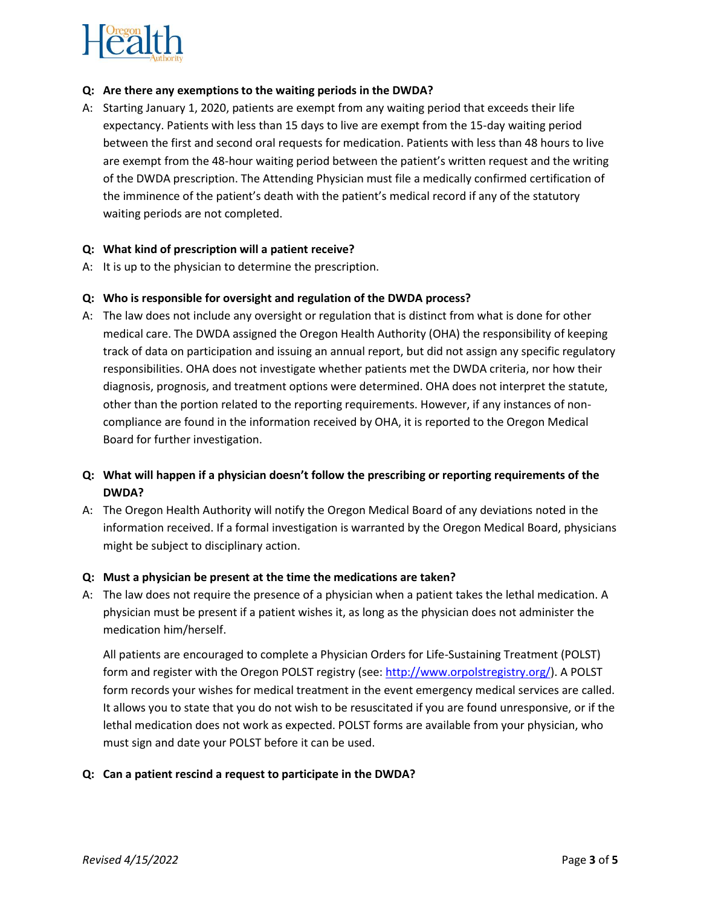

#### **Q: Are there any exemptions to the waiting periods in the DWDA?**

A: Starting January 1, 2020, patients are exempt from any waiting period that exceeds their life expectancy. Patients with less than 15 days to live are exempt from the 15-day waiting period between the first and second oral requests for medication. Patients with less than 48 hours to live are exempt from the 48-hour waiting period between the patient's written request and the writing of the DWDA prescription. The Attending Physician must file a medically confirmed certification of the imminence of the patient's death with the patient's medical record if any of the statutory waiting periods are not completed.

#### **Q: What kind of prescription will a patient receive?**

A: It is up to the physician to determine the prescription.

#### **Q: Who is responsible for oversight and regulation of the DWDA process?**

A: The law does not include any oversight or regulation that is distinct from what is done for other medical care. The DWDA assigned the Oregon Health Authority (OHA) the responsibility of keeping track of data on participation and issuing an annual report, but did not assign any specific regulatory responsibilities. OHA does not investigate whether patients met the DWDA criteria, nor how their diagnosis, prognosis, and treatment options were determined. OHA does not interpret the statute, other than the portion related to the reporting requirements. However, if any instances of noncompliance are found in the information received by OHA, it is reported to the Oregon Medical Board for further investigation.

# **Q: What will happen if a physician doesn't follow the prescribing or reporting requirements of the DWDA?**

A: The Oregon Health Authority will notify the Oregon Medical Board of any deviations noted in the information received. If a formal investigation is warranted by the Oregon Medical Board, physicians might be subject to disciplinary action.

#### **Q: Must a physician be present at the time the medications are taken?**

A: The law does not require the presence of a physician when a patient takes the lethal medication. A physician must be present if a patient wishes it, as long as the physician does not administer the medication him/herself.

All patients are encouraged to complete a Physician Orders for Life-Sustaining Treatment (POLST) form and register with the Oregon POLST registry (see: [http://www.orpolstregistry.org/\)](http://www.orpolstregistry.org/). A POLST form records your wishes for medical treatment in the event emergency medical services are called. It allows you to state that you do not wish to be resuscitated if you are found unresponsive, or if the lethal medication does not work as expected. POLST forms are available from your physician, who must sign and date your POLST before it can be used.

# **Q: Can a patient rescind a request to participate in the DWDA?**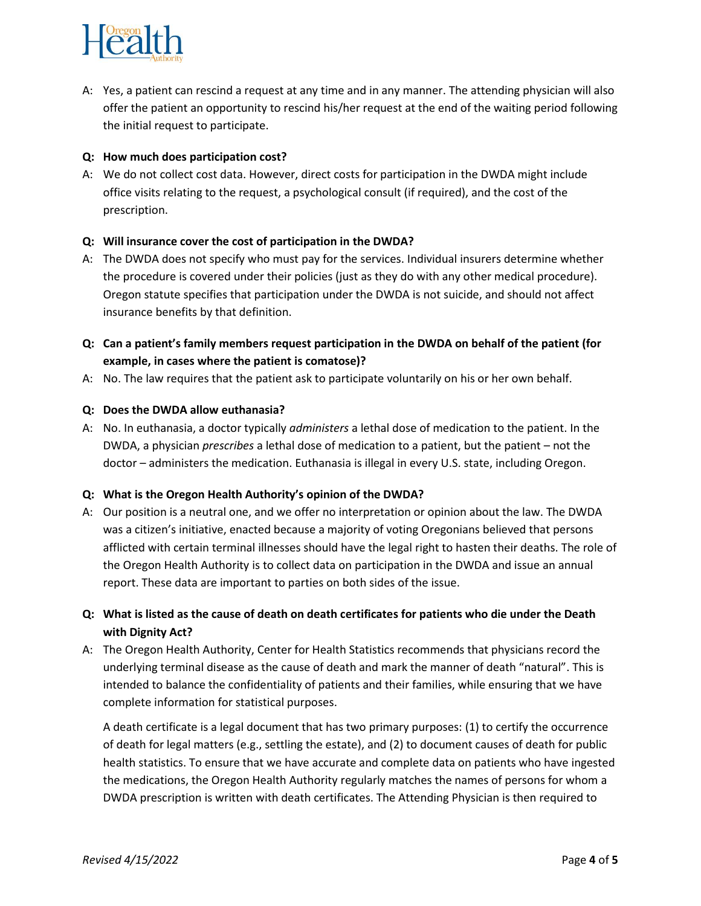

A: Yes, a patient can rescind a request at any time and in any manner. The attending physician will also offer the patient an opportunity to rescind his/her request at the end of the waiting period following the initial request to participate.

### **Q: How much does participation cost?**

A: We do not collect cost data. However, direct costs for participation in the DWDA might include office visits relating to the request, a psychological consult (if required), and the cost of the prescription.

#### **Q: Will insurance cover the cost of participation in the DWDA?**

- A: The DWDA does not specify who must pay for the services. Individual insurers determine whether the procedure is covered under their policies (just as they do with any other medical procedure). Oregon statute specifies that participation under the DWDA is not suicide, and should not affect insurance benefits by that definition.
- **Q: Can a patient's family members request participation in the DWDA on behalf of the patient (for example, in cases where the patient is comatose)?**
- A: No. The law requires that the patient ask to participate voluntarily on his or her own behalf.

#### **Q: Does the DWDA allow euthanasia?**

A: No. In euthanasia, a doctor typically *administers* a lethal dose of medication to the patient. In the DWDA, a physician *prescribes* a lethal dose of medication to a patient, but the patient – not the doctor – administers the medication. Euthanasia is illegal in every U.S. state, including Oregon.

#### **Q: What is the Oregon Health Authority's opinion of the DWDA?**

- A: Our position is a neutral one, and we offer no interpretation or opinion about the law. The DWDA was a citizen's initiative, enacted because a majority of voting Oregonians believed that persons afflicted with certain terminal illnesses should have the legal right to hasten their deaths. The role of the Oregon Health Authority is to collect data on participation in the DWDA and issue an annual report. These data are important to parties on both sides of the issue.
- **Q: What is listed as the cause of death on death certificates for patients who die under the Death with Dignity Act?**
- A: The Oregon Health Authority, Center for Health Statistics recommends that physicians record the underlying terminal disease as the cause of death and mark the manner of death "natural". This is intended to balance the confidentiality of patients and their families, while ensuring that we have complete information for statistical purposes.

A death certificate is a legal document that has two primary purposes: (1) to certify the occurrence of death for legal matters (e.g., settling the estate), and (2) to document causes of death for public health statistics. To ensure that we have accurate and complete data on patients who have ingested the medications, the Oregon Health Authority regularly matches the names of persons for whom a DWDA prescription is written with death certificates. The Attending Physician is then required to